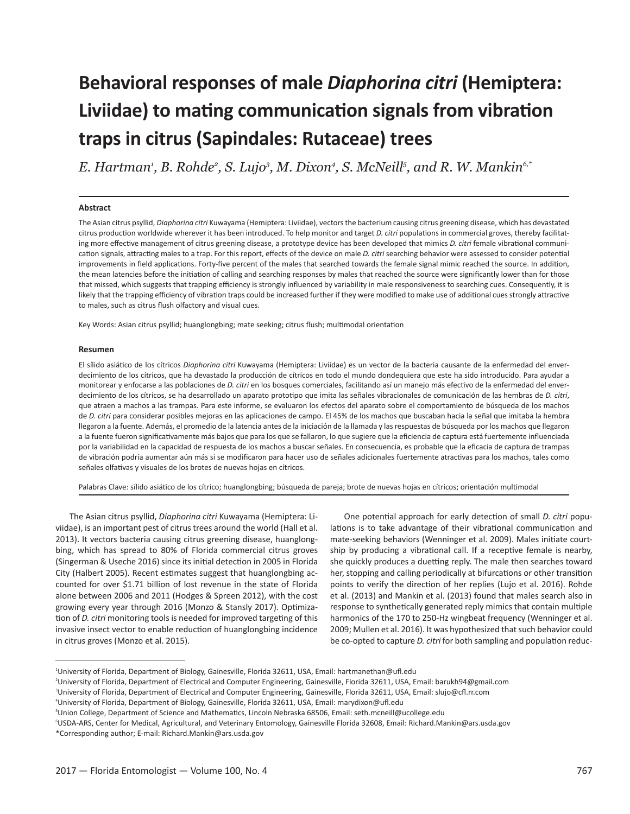# **Behavioral responses of male** *Diaphorina citri* **(Hemiptera: Liviidae) to mating communication signals from vibration traps in citrus (Sapindales: Rutaceae) trees**

*E. Hartman1 , B. Rohde2 , S. Lujo3 , M. Dixon4 , S. McNeill5 , and R. W. Mankin6,\**

#### **Abstract**

The Asian citrus psyllid, *Diaphorina citri* Kuwayama (Hemiptera: Liviidae), vectors the bacterium causing citrus greening disease, which has devastated citrus production worldwide wherever it has been introduced. To help monitor and target *D. citri* populations in commercial groves, thereby facilitating more effective management of citrus greening disease, a prototype device has been developed that mimics *D. citri* female vibrational communication signals, attracting males to a trap. For this report, effects of the device on male *D. citri* searching behavior were assessed to consider potential improvements in field applications. Forty-five percent of the males that searched towards the female signal mimic reached the source. In addition, the mean latencies before the initiation of calling and searching responses by males that reached the source were significantly lower than for those that missed, which suggests that trapping efficiency is strongly influenced by variability in male responsiveness to searching cues. Consequently, it is likely that the trapping efficiency of vibration traps could be increased further if they were modified to make use of additional cues strongly attractive to males, such as citrus flush olfactory and visual cues.

Key Words: Asian citrus psyllid; huanglongbing; mate seeking; citrus flush; multimodal orientation

#### **Resumen**

El sílido asiático de los cítricos *Diaphorina citri* Kuwayama (Hemiptera: Liviidae) es un vector de la bacteria causante de la enfermedad del enverdecimiento de los cítricos, que ha devastado la producción de cítricos en todo el mundo dondequiera que este ha sido introducido. Para ayudar a monitorear y enfocarse a las poblaciones de *D. citri* en los bosques comerciales, facilitando así un manejo más efectivo de la enfermedad del enverdecimiento de los cítricos, se ha desarrollado un aparato prototipo que imita las señales vibracionales de comunicación de las hembras de *D. citri*, que atraen a machos a las trampas. Para este informe, se evaluaron los efectos del aparato sobre el comportamiento de búsqueda de los machos de *D. citri* para considerar posibles mejoras en las aplicaciones de campo. El 45% de los machos que buscaban hacia la señal que imitaba la hembra llegaron a la fuente. Además, el promedio de la latencia antes de la iniciación de la llamada y las respuestas de búsqueda por los machos que llegaron a la fuente fueron significativamente más bajos que para los que se fallaron, lo que sugiere que la eficiencia de captura está fuertemente influenciada por la variabilidad en la capacidad de respuesta de los machos a buscar señales. En consecuencia, es probable que la eficacia de captura de trampas de vibración podría aumentar aún más si se modificaron para hacer uso de señales adicionales fuertemente atractivas para los machos, tales como señales olfativas y visuales de los brotes de nuevas hojas en cítricos.

Palabras Clave: sílido asiático de los cítrico; huanglongbing; búsqueda de pareja; brote de nuevas hojas en cítricos; orientación multimodal

The Asian citrus psyllid, *Diaphorina citri* Kuwayama (Hemiptera: Liviidae), is an important pest of citrus trees around the world (Hall et al. 2013). It vectors bacteria causing citrus greening disease, huanglongbing, which has spread to 80% of Florida commercial citrus groves (Singerman & Useche 2016) since its initial detection in 2005 in Florida City (Halbert 2005). Recent estimates suggest that huanglongbing accounted for over \$1.71 billion of lost revenue in the state of Florida alone between 2006 and 2011 (Hodges & Spreen 2012), with the cost growing every year through 2016 (Monzo & Stansly 2017). Optimization of *D. citri* monitoring tools is needed for improved targeting of this invasive insect vector to enable reduction of huanglongbing incidence in citrus groves (Monzo et al. 2015).

One potential approach for early detection of small *D. citri* populations is to take advantage of their vibrational communication and mate-seeking behaviors (Wenninger et al. 2009). Males initiate courtship by producing a vibrational call. If a receptive female is nearby, she quickly produces a duetting reply. The male then searches toward her, stopping and calling periodically at bifurcations or other transition points to verify the direction of her replies (Lujo et al. 2016). Rohde et al. (2013) and Mankin et al. (2013) found that males search also in response to synthetically generated reply mimics that contain multiple harmonics of the 170 to 250-Hz wingbeat frequency (Wenninger et al. 2009; Mullen et al. 2016). It was hypothesized that such behavior could be co-opted to capture *D. citri* for both sampling and population reduc-

<sup>1</sup> University of Florida, Department of Biology, Gainesville, Florida 32611, USA, Email: hartmanethan@ufl.edu

<sup>2</sup> University of Florida, Department of Electrical and Computer Engineering, Gainesville, Florida 32611, USA, Email: barukh94@gmail.com

<sup>3</sup> University of Florida, Department of Electrical and Computer Engineering, Gainesville, Florida 32611, USA, Email: slujo@cfl.rr.com

<sup>4</sup> University of Florida, Department of Biology, Gainesville, Florida 32611, USA, Email: marydixon@ufl.edu

<sup>5</sup> Union College, Department of Science and Mathematics, Lincoln Nebraska 68506, Email: seth.mcneill@ucollege.edu

<sup>6</sup> USDA-ARS, Center for Medical, Agricultural, and Veterinary Entomology, Gainesville Florida 32608, Email: Richard.Mankin@ars.usda.gov \*Corresponding author; E-mail: Richard.Mankin@ars.usda.gov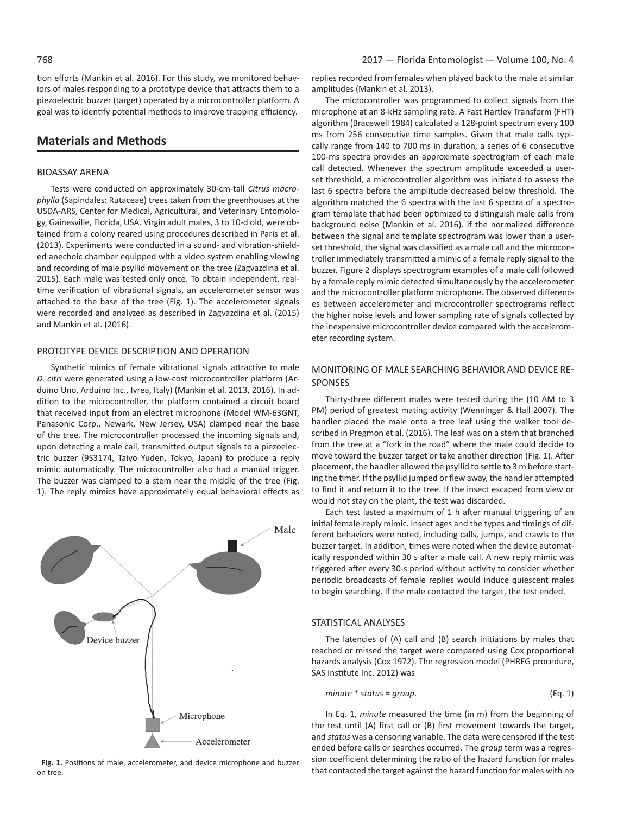tion efforts (Mankin et al. 2016). For this study, we monitored behaviors of males responding to a prototype device that attracts them to a piezoelectric buzzer (target) operated by a microcontroller platform. A goal was to identify potential methods to improve trapping efficiency.

# **Materials and Methods**

#### BIOASSAY ARENA

Tests were conducted on approximately 30-cm-tall *Citrus macrophylla* (Sapindales: Rutaceae) trees taken from the greenhouses at the USDA-ARS, Center for Medical, Agricultural, and Veterinary Entomology, Gainesville, Florida, USA. Virgin adult males, 3 to 10-d old, were obtained from a colony reared using procedures described in Paris et al. (2013). Experiments were conducted in a sound- and vibration-shielded anechoic chamber equipped with a video system enabling viewing and recording of male psyllid movement on the tree (Zagvazdina et al. 2015). Each male was tested only once. To obtain independent, realtime verification of vibrational signals, an accelerometer sensor was attached to the base of the tree (Fig. 1). The accelerometer signals were recorded and analyzed as described in Zagvazdina et al. (2015) and Mankin et al. (2016).

#### PROTOTYPE DEVICE DESCRIPTION AND OPERATION

Synthetic mimics of female vibrational signals attractive to male *D. citri* were generated using a low-cost microcontroller platform (Arduino Uno, Arduino Inc., Ivrea, Italy) (Mankin et al. 2013, 2016). In addition to the microcontroller, the platform contained a circuit board that received input from an electret microphone (Model WM-63GNT, Panasonic Corp., Newark, New Jersey, USA) clamped near the base of the tree. The microcontroller processed the incoming signals and, upon detecting a male call, transmitted output signals to a piezoelectric buzzer (9S3174, Taiyo Yuden, Tokyo, Japan) to produce a reply mimic automatically. The microcontroller also had a manual trigger. The buzzer was clamped to a stem near the middle of the tree (Fig. 1). The reply mimics have approximately equal behavioral effects as



**Fig. 1.** Positions of male, accelerometer, and device microphone and buzzer on tree.

replies recorded from females when played back to the male at similar amplitudes (Mankin et al. 2013).

The microcontroller was programmed to collect signals from the microphone at an 8-kHz sampling rate. A Fast Hartley Transform (FHT) algorithm (Bracewell 1984) calculated a 128-point spectrum every 100 ms from 256 consecutive time samples. Given that male calls typically range from 140 to 700 ms in duration, a series of 6 consecutive 100-ms spectra provides an approximate spectrogram of each male call detected. Whenever the spectrum amplitude exceeded a userset threshold, a microcontroller algorithm was initiated to assess the last 6 spectra before the amplitude decreased below threshold. The algorithm matched the 6 spectra with the last 6 spectra of a spectrogram template that had been optimized to distinguish male calls from background noise (Mankin et al. 2016). If the normalized difference between the signal and template spectrogram was lower than a userset threshold, the signal was classified as a male call and the microcontroller immediately transmitted a mimic of a female reply signal to the buzzer. Figure 2 displays spectrogram examples of a male call followed by a female reply mimic detected simultaneously by the accelerometer and the microcontroller platform microphone. The observed differences between accelerometer and microcontroller spectrograms reflect the higher noise levels and lower sampling rate of signals collected by the inexpensive microcontroller device compared with the accelerometer recording system.

## MONITORING OF MALE SEARCHING BEHAVIOR AND DEVICE RE-SPONSES

Thirty-three different males were tested during the (10 AM to 3 PM) period of greatest mating activity (Wenninger & Hall 2007). The handler placed the male onto a tree leaf using the walker tool described in Pregmon et al. (2016). The leaf was on a stem that branched from the tree at a "fork in the road" where the male could decide to move toward the buzzer target or take another direction (Fig. 1). After placement, the handler allowed the psyllid to settle to 3 m before starting the timer. If the psyllid jumped or flew away, the handler attempted to find it and return it to the tree. If the insect escaped from view or would not stay on the plant, the test was discarded.

Each test lasted a maximum of 1 h after manual triggering of an initial female-reply mimic. Insect ages and the types and timings of different behaviors were noted, including calls, jumps, and crawls to the buzzer target. In addition, times were noted when the device automatically responded within 30 s after a male call. A new reply mimic was triggered after every 30-s period without activity to consider whether periodic broadcasts of female replies would induce quiescent males to begin searching. If the male contacted the target, the test ended.

## STATISTICAL ANALYSES

The latencies of (A) call and (B) search initiations by males that reached or missed the target were compared using Cox proportional hazards analysis (Cox 1972). The regression model (PHREG procedure, SAS Institute Inc. 2012) was

$$
minute * status = group.
$$
 (Eq. 1)

In Eq. 1, *minute* measured the time (in m) from the beginning of the test until (A) first call or (B) first movement towards the target, and *status* was a censoring variable. The data were censored if the test ended before calls or searches occurred. The *group* term was a regression coefficient determining the ratio of the hazard function for males that contacted the target against the hazard function for males with no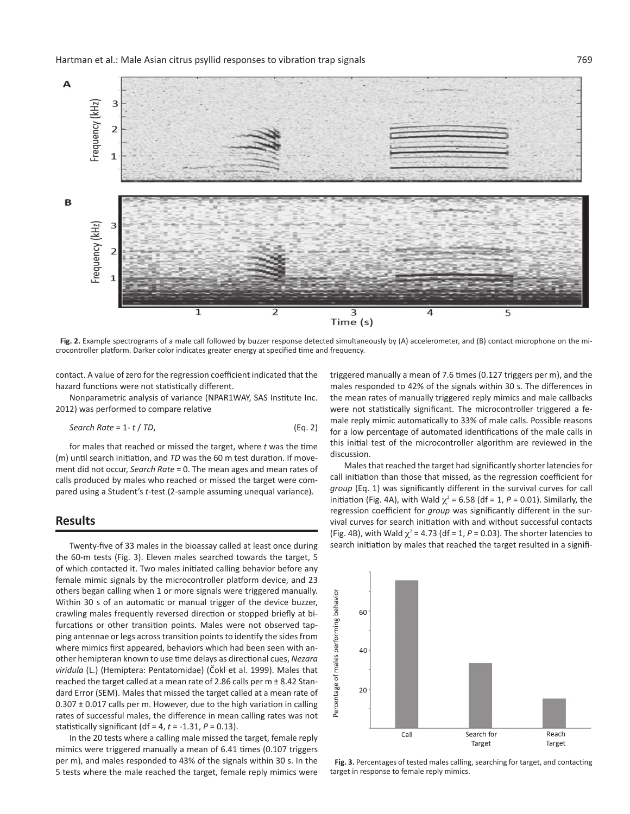

**Fig. 2.** Example spectrograms of a male call followed by buzzer response detected simultaneously by (A) accelerometer, and (B) contact microphone on the microcontroller platform. Darker color indicates greater energy at specified time and frequency.

contact. A value of zero for the regression coefficient indicated that the hazard functions were not statistically different.

Nonparametric analysis of variance (NPAR1WAY, SAS Institute Inc. 2012) was performed to compare relative

*Search Rate = 1 - t / TD,* 
$$
(Eq. 2)
$$

for males that reached or missed the target, where *t* was the time (m) until search initiation, and *TD* was the 60 m test duration. If movement did not occur, *Search Rate* = 0. The mean ages and mean rates of calls produced by males who reached or missed the target were compared using a Student's *t*-test (2-sample assuming unequal variance).

## **Results**

Twenty-five of 33 males in the bioassay called at least once during the 60-m tests (Fig. 3). Eleven males searched towards the target, 5 of which contacted it. Two males initiated calling behavior before any female mimic signals by the microcontroller platform device, and 23 others began calling when 1 or more signals were triggered manually. Within 30 s of an automatic or manual trigger of the device buzzer, crawling males frequently reversed direction or stopped briefly at bifurcations or other transition points. Males were not observed tapping antennae or legs across transition points to identify the sides from where mimics first appeared, behaviors which had been seen with another hemipteran known to use time delays as directional cues, *Nezara viridula* (L.) (Hemiptera: Pentatomidae) (Čokl et al. 1999). Males that reached the target called at a mean rate of 2.86 calls per m ± 8.42 Standard Error (SEM). Males that missed the target called at a mean rate of  $0.307 \pm 0.017$  calls per m. However, due to the high variation in calling rates of successful males, the difference in mean calling rates was not statistically significant (df = 4, *t* = -1.31, *P* = 0.13).

In the 20 tests where a calling male missed the target, female reply mimics were triggered manually a mean of 6.41 times (0.107 triggers per m), and males responded to 43% of the signals within 30 s. In the 5 tests where the male reached the target, female reply mimics were triggered manually a mean of 7.6 times (0.127 triggers per m), and the males responded to 42% of the signals within 30 s. The differences in the mean rates of manually triggered reply mimics and male callbacks were not statistically significant. The microcontroller triggered a female reply mimic automatically to 33% of male calls. Possible reasons for a low percentage of automated identifications of the male calls in this initial test of the microcontroller algorithm are reviewed in the discussion.

Males that reached the target had significantly shorter latencies for call initiation than those that missed, as the regression coefficient for *group* (Eq. 1) was significantly different in the survival curves for call initiation (Fig. 4A), with Wald  $\chi^2$  = 6.58 (df = 1, P = 0.01). Similarly, the regression coefficient for *group* was significantly different in the survival curves for search initiation with and without successful contacts (Fig. 4B), with Wald  $\chi^2$  = 4.73 (df = 1, P = 0.03). The shorter latencies to search initiation by males that reached the target resulted in a signifi-



**Fig. 3.** Percentages of tested males calling, searching for target, and contacting target in response to female reply mimics.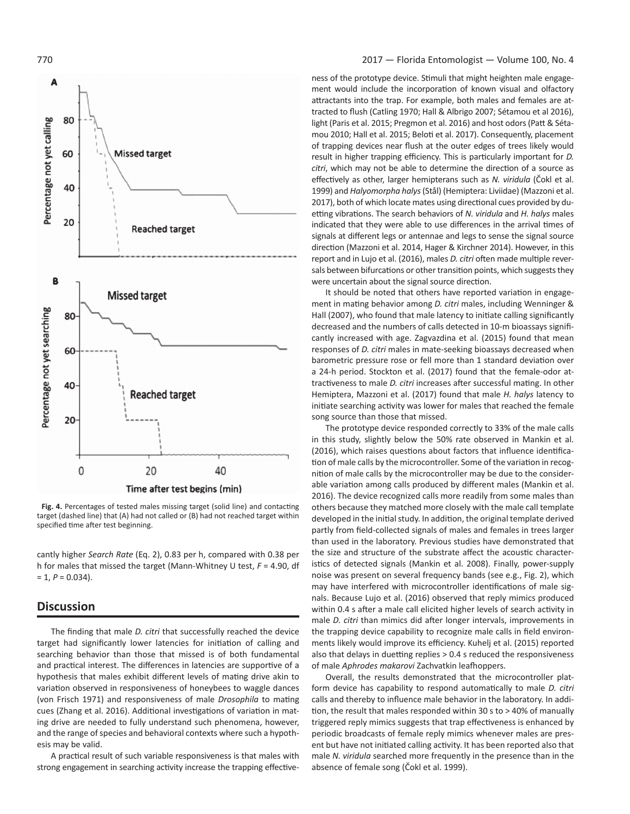

**Fig. 4.** Percentages of tested males missing target (solid line) and contacting target (dashed line) that (A) had not called or (B) had not reached target within specified time after test beginning.

cantly higher *Search Rate* (Eq. 2), 0.83 per h, compared with 0.38 per h for males that missed the target (Mann-Whitney U test, *F* = 4.90, df  $= 1, P = 0.034$ .

# **Discussion**

The finding that male *D. citri* that successfully reached the device target had significantly lower latencies for initiation of calling and searching behavior than those that missed is of both fundamental and practical interest. The differences in latencies are supportive of a hypothesis that males exhibit different levels of mating drive akin to variation observed in responsiveness of honeybees to waggle dances (von Frisch 1971) and responsiveness of male *Drosophila* to mating cues (Zhang et al. 2016). Additional investigations of variation in mating drive are needed to fully understand such phenomena, however, and the range of species and behavioral contexts where such a hypothesis may be valid.

A practical result of such variable responsiveness is that males with strong engagement in searching activity increase the trapping effective-

#### 770 2017 — Florida Entomologist — Volume 100, No. 4

ness of the prototype device. Stimuli that might heighten male engagement would include the incorporation of known visual and olfactory attractants into the trap. For example, both males and females are attracted to flush (Catling 1970; Hall & Albrigo 2007; Sétamou et al 2016), light (Paris et al. 2015; Pregmon et al. 2016) and host odors (Patt & Sétamou 2010; Hall et al. 2015; Beloti et al. 2017). Consequently, placement of trapping devices near flush at the outer edges of trees likely would result in higher trapping efficiency. This is particularly important for *D. citri*, which may not be able to determine the direction of a source as effectively as other, larger hemipterans such as *N. viridula* (Čokl et al. 1999) and *Halyomorpha halys* (Stål) (Hemiptera: Liviidae) (Mazzoni et al. 2017), both of which locate mates using directional cues provided by duetting vibrations. The search behaviors of *N. viridula* and *H. halys* males indicated that they were able to use differences in the arrival times of signals at different legs or antennae and legs to sense the signal source direction (Mazzoni et al. 2014, Hager & Kirchner 2014). However, in this report and in Lujo et al. (2016), males *D. citri* often made multiple reversals between bifurcations or other transition points, which suggests they were uncertain about the signal source direction.

It should be noted that others have reported variation in engagement in mating behavior among *D. citri* males, including Wenninger & Hall (2007), who found that male latency to initiate calling significantly decreased and the numbers of calls detected in 10-m bioassays significantly increased with age. Zagvazdina et al. (2015) found that mean responses of *D. citri* males in mate-seeking bioassays decreased when barometric pressure rose or fell more than 1 standard deviation over a 24-h period. Stockton et al. (2017) found that the female-odor attractiveness to male *D. citri* increases after successful mating. In other Hemiptera, Mazzoni et al. (2017) found that male *H. halys* latency to initiate searching activity was lower for males that reached the female song source than those that missed.

The prototype device responded correctly to 33% of the male calls in this study, slightly below the 50% rate observed in Mankin et al. (2016), which raises questions about factors that influence identification of male calls by the microcontroller. Some of the variation in recognition of male calls by the microcontroller may be due to the considerable variation among calls produced by different males (Mankin et al. 2016). The device recognized calls more readily from some males than others because they matched more closely with the male call template developed in the initial study. In addition, the original template derived partly from field-collected signals of males and females in trees larger than used in the laboratory. Previous studies have demonstrated that the size and structure of the substrate affect the acoustic characteristics of detected signals (Mankin et al. 2008). Finally, power-supply noise was present on several frequency bands (see e.g., Fig. 2), which may have interfered with microcontroller identifications of male signals. Because Lujo et al. (2016) observed that reply mimics produced within 0.4 s after a male call elicited higher levels of search activity in male *D. citri* than mimics did after longer intervals, improvements in the trapping device capability to recognize male calls in field environments likely would improve its efficiency. Kuhelj et al. (2015) reported also that delays in duetting replies > 0.4 s reduced the responsiveness of male *Aphrodes makarovi* Zachvatkin leafhoppers.

Overall, the results demonstrated that the microcontroller platform device has capability to respond automatically to male *D. citri* calls and thereby to influence male behavior in the laboratory. In addition, the result that males responded within 30 s to > 40% of manually triggered reply mimics suggests that trap effectiveness is enhanced by periodic broadcasts of female reply mimics whenever males are present but have not initiated calling activity. It has been reported also that male *N. viridula* searched more frequently in the presence than in the absence of female song (Čokl et al. 1999).